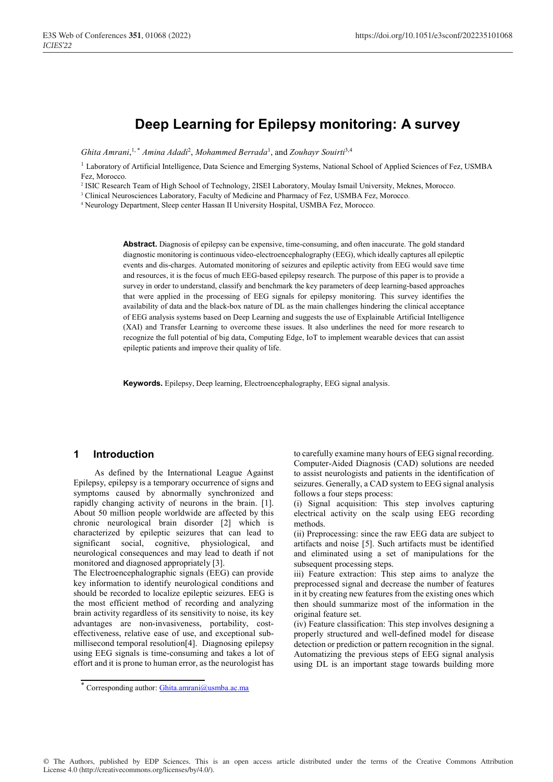# **Deep Learning for Epilepsy monitoring: A survey**

Ghita Amrani,<sup>1,\*</sup> Amina Adadi<sup>2</sup>, Mohammed Berrada<sup>1</sup>, and Zouhayr Souirti<sup>3,4</sup>

<sup>1</sup> Laboratory of Artificial Intelligence, Data Science and Emerging Systems, National School of Applied Sciences of Fez, USMBA Fez, Morocco.

<sup>2</sup> ISIC Research Team of High School of Technology, 2ISEI Laboratory, Moulay Ismail University, Meknes, Morocco.

<sup>3</sup> Clinical Neurosciences Laboratory, Faculty of Medicine and Pharmacy of Fez, USMBA Fez, Morocco. 4 Neurology Department, Sleep center Hassan II University Hospital, USMBA Fez, Morocco.

**Abstract.** Diagnosis of epilepsy can be expensive, time-consuming, and often inaccurate. The gold standard diagnostic monitoring is continuous video-electroencephalography (EEG), which ideally captures all epileptic events and dis-charges. Automated monitoring of seizures and epileptic activity from EEG would save time and resources, it is the focus of much EEG-based epilepsy research. The purpose of this paper is to provide a survey in order to understand, classify and benchmark the key parameters of deep learning-based approaches that were applied in the processing of EEG signals for epilepsy monitoring. This survey identifies the availability of data and the black-box nature of DL as the main challenges hindering the clinical acceptance of EEG analysis systems based on Deep Learning and suggests the use of Explainable Artificial Intelligence (XAI) and Transfer Learning to overcome these issues. It also underlines the need for more research to recognize the full potential of big data, Computing Edge, IoT to implement wearable devices that can assist epileptic patients and improve their quality of life.

**Keywords.** Epilepsy, Deep learning, Electroencephalography, EEG signal analysis.

### **1 Introduction**

As defined by the International League Against Epilepsy, epilepsy is a temporary occurrence of signs and symptoms caused by abnormally synchronized and rapidly changing activity of neurons in the brain. [1]. About 50 million people worldwide are affected by this chronic neurological brain disorder [2] which is characterized by epileptic seizures that can lead to significant social, cognitive, physiological, and neurological consequences and may lead to death if not monitored and diagnosed appropriately [3].

The Electroencephalographic signals (EEG) can provide key information to identify neurological conditions and should be recorded to localize epileptic seizures. EEG is the most efficient method of recording and analyzing brain activity regardless of its sensitivity to noise, its key advantages are non-invasiveness, portability, costeffectiveness, relative ease of use, and exceptional submillisecond temporal resolution[4]. Diagnosing epilepsy using EEG signals is time-consuming and takes a lot of effort and it is prone to human error, as the neurologist has to carefully examine many hours of EEG signal recording. Computer-Aided Diagnosis (CAD) solutions are needed to assist neurologists and patients in the identification of seizures. Generally, a CAD system to EEG signal analysis follows a four steps process:

(i) Signal acquisition: This step involves capturing electrical activity on the scalp using EEG recording methods.

(ii) Preprocessing: since the raw EEG data are subject to artifacts and noise [5]. Such artifacts must be identified and eliminated using a set of manipulations for the subsequent processing steps.

iii) Feature extraction: This step aims to analyze the preprocessed signal and decrease the number of features in it by creating new features from the existing ones which then should summarize most of the information in the original feature set.

(iv) Feature classification: This step involves designing a properly structured and well-defined model for disease detection or prediction or pattern recognition in the signal. Automatizing the previous steps of EEG signal analysis using DL is an important stage towards building more

<sup>\*</sup> Corresponding author: **Ghita.amrani@usmba.ac.ma**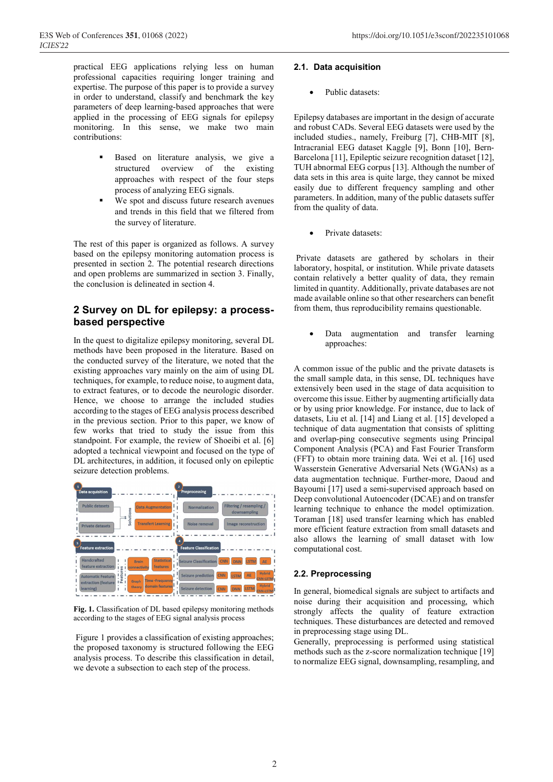practical EEG applications relying less on human professional capacities requiring longer training and expertise. The purpose of this paper is to provide a survey in order to understand, classify and benchmark the key parameters of deep learning-based approaches that were applied in the processing of EEG signals for epilepsy monitoring. In this sense, we make two main contributions:

- Based on literature analysis, we give a structured overview of the existing approaches with respect of the four steps process of analyzing EEG signals.
- We spot and discuss future research avenues and trends in this field that we filtered from the survey of literature.

The rest of this paper is organized as follows. A survey based on the epilepsy monitoring automation process is presented in section 2. The potential research directions and open problems are summarized in section 3. Finally, the conclusion is delineated in section 4.

# **2 Survey on DL for epilepsy: a processbased perspective**

In the quest to digitalize epilepsy monitoring, several DL methods have been proposed in the literature. Based on the conducted survey of the literature, we noted that the existing approaches vary mainly on the aim of using DL techniques, for example, to reduce noise, to augment data, to extract features, or to decode the neurologic disorder. Hence, we choose to arrange the included studies according to the stages of EEG analysis process described in the previous section. Prior to this paper, we know of few works that tried to study the issue from this standpoint. For example, the review of Shoeibi et al. [6] adopted a technical viewpoint and focused on the type of DL architectures, in addition, it focused only on epileptic seizure detection problems.



**Fig. 1.** Classification of DL based epilepsy monitoring methods according to the stages of EEG signal analysis process

 Figure 1 provides a classification of existing approaches; the proposed taxonomy is structured following the EEG analysis process. To describe this classification in detail, we devote a subsection to each step of the process.

### **2.1. Data acquisition**

Public datasets:

Epilepsy databases are important in the design of accurate and robust CADs. Several EEG datasets were used by the included studies., namely, Freiburg [7], CHB-MIT [8], Intracranial EEG dataset Kaggle [9], Bonn [10], Bern-Barcelona [11], Epileptic seizure recognition dataset [12], TUH abnormal EEG corpus [13]. Although the number of data sets in this area is quite large, they cannot be mixed easily due to different frequency sampling and other parameters. In addition, many of the public datasets suffer from the quality of data.

Private datasets:

 Private datasets are gathered by scholars in their laboratory, hospital, or institution. While private datasets contain relatively a better quality of data, they remain limited in quantity. Additionally, private databases are not made available online so that other researchers can benefit from them, thus reproducibility remains questionable.

 Data augmentation and transfer learning approaches:

A common issue of the public and the private datasets is the small sample data, in this sense, DL techniques have extensively been used in the stage of data acquisition to overcome this issue. Either by augmenting artificially data or by using prior knowledge. For instance, due to lack of datasets, Liu et al. [14] and Liang et al. [15] developed a technique of data augmentation that consists of splitting and overlap-ping consecutive segments using Principal Component Analysis (PCA) and Fast Fourier Transform (FFT) to obtain more training data. Wei et al. [16] used Wasserstein Generative Adversarial Nets (WGANs) as a data augmentation technique. Further-more, Daoud and Bayoumi [17] used a semi-supervised approach based on Deep convolutional Autoencoder (DCAE) and on transfer learning technique to enhance the model optimization. Toraman [18] used transfer learning which has enabled more efficient feature extraction from small datasets and also allows the learning of small dataset with low computational cost.

### **2.2. Preprocessing**

In general, biomedical signals are subject to artifacts and noise during their acquisition and processing, which strongly affects the quality of feature extraction techniques. These disturbances are detected and removed in preprocessing stage using DL.

Generally, preprocessing is performed using statistical methods such as the z-score normalization technique [19] to normalize EEG signal, downsampling, resampling, and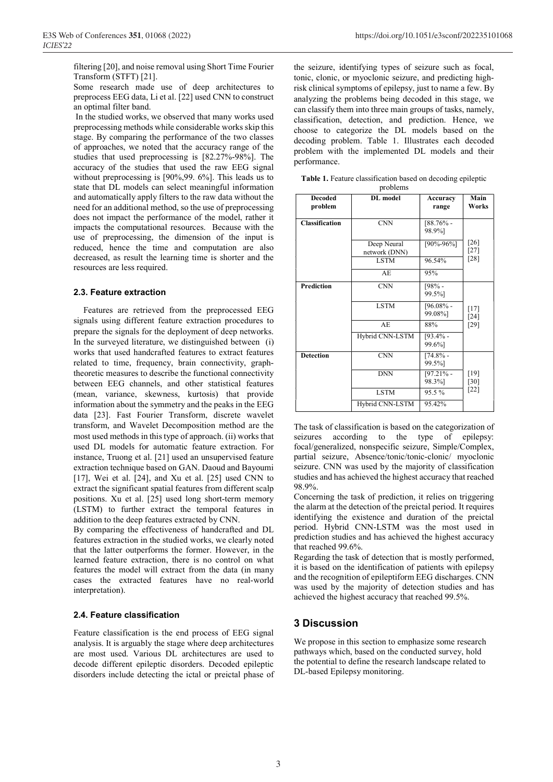filtering [20], and noise removal using Short Time Fourier Transform (STFT) [21].

Some research made use of deep architectures to preprocess EEG data, Li et al. [22] used CNN to construct an optimal filter band.

 In the studied works, we observed that many works used preprocessing methods while considerable works skip this stage. By comparing the performance of the two classes of approaches, we noted that the accuracy range of the studies that used preprocessing is [82.27%-98%]. The accuracy of the studies that used the raw EEG signal without preprocessing is [90%,99. 6%]. This leads us to state that DL models can select meaningful information and automatically apply filters to the raw data without the need for an additional method, so the use of preprocessing does not impact the performance of the model, rather it impacts the computational resources. Because with the use of preprocessing, the dimension of the input is reduced, hence the time and computation are also decreased, as result the learning time is shorter and the resources are less required.

#### **2.3. Feature extraction**

Features are retrieved from the preprocessed EEG signals using different feature extraction procedures to prepare the signals for the deployment of deep networks. In the surveyed literature, we distinguished between (i) works that used handcrafted features to extract features related to time, frequency, brain connectivity, graphtheoretic measures to describe the functional connectivity between EEG channels, and other statistical features (mean, variance, skewness, kurtosis) that provide information about the symmetry and the peaks in the EEG data [23]. Fast Fourier Transform, discrete wavelet transform, and Wavelet Decomposition method are the most used methods in this type of approach. (ii) works that used DL models for automatic feature extraction. For instance, Truong et al. [21] used an unsupervised feature extraction technique based on GAN. Daoud and Bayoumi [17], Wei et al. [24], and Xu et al. [25] used CNN to extract the significant spatial features from different scalp positions. Xu et al. [25] used long short-term memory (LSTM) to further extract the temporal features in addition to the deep features extracted by CNN.

By comparing the effectiveness of handcrafted and DL features extraction in the studied works, we clearly noted that the latter outperforms the former. However, in the learned feature extraction, there is no control on what features the model will extract from the data (in many cases the extracted features have no real-world interpretation).

#### **2.4. Feature classification**

Feature classification is the end process of EEG signal analysis. It is arguably the stage where deep architectures are most used. Various DL architectures are used to decode different epileptic disorders. Decoded epileptic disorders include detecting the ictal or preictal phase of the seizure, identifying types of seizure such as focal, tonic, clonic, or myoclonic seizure, and predicting highrisk clinical symptoms of epilepsy, just to name a few. By analyzing the problems being decoded in this stage, we can classify them into three main groups of tasks, namely, classification, detection, and prediction. Hence, we choose to categorize the DL models based on the decoding problem. Table 1. Illustrates each decoded problem with the implemented DL models and their performance.

**Table 1.** Feature classification based on decoding epileptic problems

| <b>Decoded</b>        | DL model                     | Accuracy                | Main             |
|-----------------------|------------------------------|-------------------------|------------------|
| problem               |                              | range                   | Works            |
| <b>Classification</b> | <b>CNN</b>                   | $[88.76\%]$ -<br>98.9%] |                  |
|                       | Deep Neural<br>network (DNN) | $[90\% - 96\%]$         | [26]<br>$[27]$   |
|                       | <b>LSTM</b>                  | 96.54%                  | [28]             |
|                       | AE                           | 95%                     |                  |
| Prediction            | <b>CNN</b>                   | [98% -<br>99.5%]        |                  |
|                       | <b>LSTM</b>                  | $[96.08\%]$<br>99.08%]  | $[17]$<br>$[24]$ |
|                       | AE                           | 88%                     | [29]             |
|                       | Hybrid CNN-LSTM              | $[93.4\%]$ -<br>99.6%]  |                  |
| <b>Detection</b>      | <b>CNN</b>                   | $[74.8\%$ -<br>99.5%]   |                  |
|                       | <b>DNN</b>                   | $[97.21\%]$<br>98.3%]   | $[19]$<br>$[30]$ |
|                       | <b>LSTM</b>                  | 95.5%                   | $[22]$           |
|                       | Hybrid CNN-LSTM              | 95.42%                  |                  |

The task of classification is based on the categorization of seizures according to the type of epilepsy: focal/generalized, nonspecific seizure, Simple/Complex, partial seizure, Absence/tonic/tonic-clonic/ myoclonic seizure. CNN was used by the majority of classification studies and has achieved the highest accuracy that reached 98.9%.

Concerning the task of prediction, it relies on triggering the alarm at the detection of the preictal period. It requires identifying the existence and duration of the preictal period. Hybrid CNN-LSTM was the most used in prediction studies and has achieved the highest accuracy that reached 99.6%.

Regarding the task of detection that is mostly performed, it is based on the identification of patients with epilepsy and the recognition of epileptiform EEG discharges. CNN was used by the majority of detection studies and has achieved the highest accuracy that reached 99.5%.

### **3 Discussion**

We propose in this section to emphasize some research pathways which, based on the conducted survey, hold the potential to define the research landscape related to DL-based Epilepsy monitoring.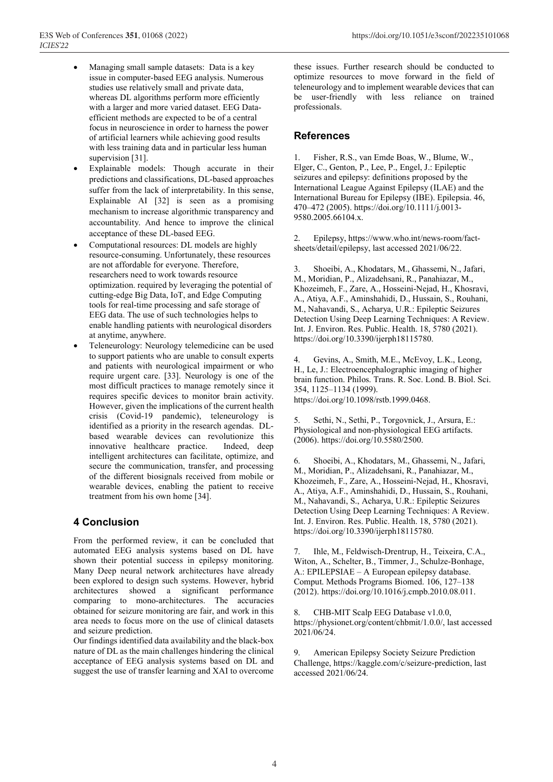- Managing small sample datasets: Data is a key issue in computer-based EEG analysis. Numerous studies use relatively small and private data, whereas DL algorithms perform more efficiently with a larger and more varied dataset. EEG Dataefficient methods are expected to be of a central focus in neuroscience in order to harness the power of artificial learners while achieving good results with less training data and in particular less human supervision [31].
- Explainable models: Though accurate in their predictions and classifications, DL-based approaches suffer from the lack of interpretability. In this sense, Explainable AI [32] is seen as a promising mechanism to increase algorithmic transparency and accountability. And hence to improve the clinical acceptance of these DL-based EEG.
- Computational resources: DL models are highly resource-consuming. Unfortunately, these resources are not affordable for everyone. Therefore, researchers need to work towards resource optimization. required by leveraging the potential of cutting-edge Big Data, IoT, and Edge Computing tools for real-time processing and safe storage of EEG data. The use of such technologies helps to enable handling patients with neurological disorders at anytime, anywhere.
- Teleneurology: Neurology telemedicine can be used to support patients who are unable to consult experts and patients with neurological impairment or who require urgent care. [33]. Neurology is one of the most difficult practices to manage remotely since it requires specific devices to monitor brain activity. However, given the implications of the current health crisis (Covid-19 pandemic), teleneurology is identified as a priority in the research agendas. DLbased wearable devices can revolutionize this innovative healthcare practice. Indeed, deep intelligent architectures can facilitate, optimize, and secure the communication, transfer, and processing of the different biosignals received from mobile or wearable devices, enabling the patient to receive treatment from his own home [34].

# **4 Conclusion**

From the performed review, it can be concluded that automated EEG analysis systems based on DL have shown their potential success in epilepsy monitoring. Many Deep neural network architectures have already been explored to design such systems. However, hybrid architectures showed a significant performance comparing to mono-architectures. The accuracies obtained for seizure monitoring are fair, and work in this area needs to focus more on the use of clinical datasets and seizure prediction.

Our findings identified data availability and the black-box nature of DL as the main challenges hindering the clinical acceptance of EEG analysis systems based on DL and suggest the use of transfer learning and XAI to overcome these issues. Further research should be conducted to optimize resources to move forward in the field of teleneurology and to implement wearable devices that can be user-friendly with less reliance on trained professionals.

## **References**

1. Fisher, R.S., van Emde Boas, W., Blume, W., Elger, C., Genton, P., Lee, P., Engel, J.: Epileptic seizures and epilepsy: definitions proposed by the International League Against Epilepsy (ILAE) and the International Bureau for Epilepsy (IBE). Epilepsia. 46, 470–472 (2005). https://doi.org/10.1111/j.0013- 9580.2005.66104.x.

2. Epilepsy, https://www.who.int/news-room/factsheets/detail/epilepsy, last accessed 2021/06/22.

3. Shoeibi, A., Khodatars, M., Ghassemi, N., Jafari, M., Moridian, P., Alizadehsani, R., Panahiazar, M., Khozeimeh, F., Zare, A., Hosseini-Nejad, H., Khosravi, A., Atiya, A.F., Aminshahidi, D., Hussain, S., Rouhani, M., Nahavandi, S., Acharya, U.R.: Epileptic Seizures Detection Using Deep Learning Techniques: A Review. Int. J. Environ. Res. Public. Health. 18, 5780 (2021). https://doi.org/10.3390/ijerph18115780.

4. Gevins, A., Smith, M.E., McEvoy, L.K., Leong, H., Le, J.: Electroencephalographic imaging of higher brain function. Philos. Trans. R. Soc. Lond. B. Biol. Sci. 354, 1125–1134 (1999). https://doi.org/10.1098/rstb.1999.0468.

5. Sethi, N., Sethi, P., Torgovnick, J., Arsura, E.: Physiological and non-physiological EEG artifacts. (2006). https://doi.org/10.5580/2500.

6. Shoeibi, A., Khodatars, M., Ghassemi, N., Jafari, M., Moridian, P., Alizadehsani, R., Panahiazar, M., Khozeimeh, F., Zare, A., Hosseini-Nejad, H., Khosravi, A., Atiya, A.F., Aminshahidi, D., Hussain, S., Rouhani, M., Nahavandi, S., Acharya, U.R.: Epileptic Seizures Detection Using Deep Learning Techniques: A Review. Int. J. Environ. Res. Public. Health. 18, 5780 (2021). https://doi.org/10.3390/ijerph18115780.

7. Ihle, M., Feldwisch-Drentrup, H., Teixeira, C.A., Witon, A., Schelter, B., Timmer, J., Schulze-Bonhage, A.: EPILEPSIAE – A European epilepsy database. Comput. Methods Programs Biomed. 106, 127–138 (2012). https://doi.org/10.1016/j.cmpb.2010.08.011.

8. CHB-MIT Scalp EEG Database v1.0.0, https://physionet.org/content/chbmit/1.0.0/, last accessed 2021/06/24.

9. American Epilepsy Society Seizure Prediction Challenge, https://kaggle.com/c/seizure-prediction, last accessed 2021/06/24.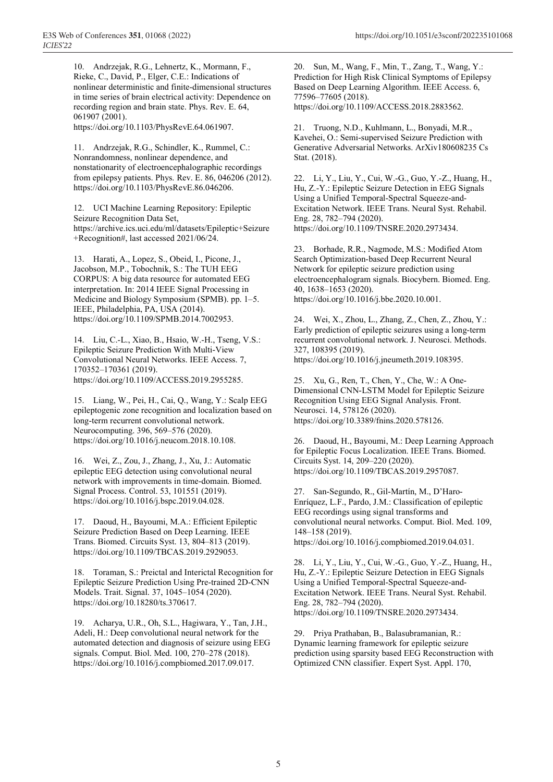10. Andrzejak, R.G., Lehnertz, K., Mormann, F., Rieke, C., David, P., Elger, C.E.: Indications of nonlinear deterministic and finite-dimensional structures in time series of brain electrical activity: Dependence on recording region and brain state. Phys. Rev. E. 64, 061907 (2001).

https://doi.org/10.1103/PhysRevE.64.061907.

11. Andrzejak, R.G., Schindler, K., Rummel, C.: Nonrandomness, nonlinear dependence, and nonstationarity of electroencephalographic recordings from epilepsy patients. Phys. Rev. E. 86, 046206 (2012). https://doi.org/10.1103/PhysRevE.86.046206.

12. UCI Machine Learning Repository: Epileptic Seizure Recognition Data Set, https://archive.ics.uci.edu/ml/datasets/Epileptic+Seizure +Recognition#, last accessed 2021/06/24.

13. Harati, A., Lopez, S., Obeid, I., Picone, J., Jacobson, M.P., Tobochnik, S.: The TUH EEG CORPUS: A big data resource for automated EEG interpretation. In: 2014 IEEE Signal Processing in Medicine and Biology Symposium (SPMB). pp. 1–5. IEEE, Philadelphia, PA, USA (2014). https://doi.org/10.1109/SPMB.2014.7002953.

14. Liu, C.-L., Xiao, B., Hsaio, W.-H., Tseng, V.S.: Epileptic Seizure Prediction With Multi-View Convolutional Neural Networks. IEEE Access. 7, 170352–170361 (2019). https://doi.org/10.1109/ACCESS.2019.2955285.

15. Liang, W., Pei, H., Cai, Q., Wang, Y.: Scalp EEG epileptogenic zone recognition and localization based on long-term recurrent convolutional network. Neurocomputing. 396, 569–576 (2020). https://doi.org/10.1016/j.neucom.2018.10.108.

16. Wei, Z., Zou, J., Zhang, J., Xu, J.: Automatic epileptic EEG detection using convolutional neural network with improvements in time-domain. Biomed. Signal Process. Control. 53, 101551 (2019). https://doi.org/10.1016/j.bspc.2019.04.028.

17. Daoud, H., Bayoumi, M.A.: Efficient Epileptic Seizure Prediction Based on Deep Learning. IEEE Trans. Biomed. Circuits Syst. 13, 804–813 (2019). https://doi.org/10.1109/TBCAS.2019.2929053.

18. Toraman, S.: Preictal and Interictal Recognition for Epileptic Seizure Prediction Using Pre-trained 2D-CNN Models. Trait. Signal. 37, 1045–1054 (2020). https://doi.org/10.18280/ts.370617.

19. Acharya, U.R., Oh, S.L., Hagiwara, Y., Tan, J.H., Adeli, H.: Deep convolutional neural network for the automated detection and diagnosis of seizure using EEG signals. Comput. Biol. Med. 100, 270–278 (2018). https://doi.org/10.1016/j.compbiomed.2017.09.017.

20. Sun, M., Wang, F., Min, T., Zang, T., Wang, Y.: Prediction for High Risk Clinical Symptoms of Epilepsy Based on Deep Learning Algorithm. IEEE Access. 6, 77596–77605 (2018). https://doi.org/10.1109/ACCESS.2018.2883562.

21. Truong, N.D., Kuhlmann, L., Bonyadi, M.R., Kavehei, O.: Semi-supervised Seizure Prediction with Generative Adversarial Networks. ArXiv180608235 Cs Stat. (2018).

22. Li, Y., Liu, Y., Cui, W.-G., Guo, Y.-Z., Huang, H., Hu, Z.-Y.: Epileptic Seizure Detection in EEG Signals Using a Unified Temporal-Spectral Squeeze-and-Excitation Network. IEEE Trans. Neural Syst. Rehabil. Eng. 28, 782–794 (2020). https://doi.org/10.1109/TNSRE.2020.2973434.

23. Borhade, R.R., Nagmode, M.S.: Modified Atom Search Optimization-based Deep Recurrent Neural Network for epileptic seizure prediction using electroencephalogram signals. Biocybern. Biomed. Eng. 40, 1638–1653 (2020). https://doi.org/10.1016/j.bbe.2020.10.001.

24. Wei, X., Zhou, L., Zhang, Z., Chen, Z., Zhou, Y.: Early prediction of epileptic seizures using a long-term recurrent convolutional network. J. Neurosci. Methods. 327, 108395 (2019). https://doi.org/10.1016/j.jneumeth.2019.108395.

25. Xu, G., Ren, T., Chen, Y., Che, W.: A One-Dimensional CNN-LSTM Model for Epileptic Seizure Recognition Using EEG Signal Analysis. Front. Neurosci. 14, 578126 (2020). https://doi.org/10.3389/fnins.2020.578126.

26. Daoud, H., Bayoumi, M.: Deep Learning Approach for Epileptic Focus Localization. IEEE Trans. Biomed. Circuits Syst. 14, 209–220 (2020). https://doi.org/10.1109/TBCAS.2019.2957087.

27. San-Segundo, R., Gil-Martín, M., D'Haro-Enríquez, L.F., Pardo, J.M.: Classification of epileptic EEG recordings using signal transforms and convolutional neural networks. Comput. Biol. Med. 109, 148–158 (2019). https://doi.org/10.1016/j.compbiomed.2019.04.031.

28. Li, Y., Liu, Y., Cui, W.-G., Guo, Y.-Z., Huang, H., Hu, Z.-Y.: Epileptic Seizure Detection in EEG Signals Using a Unified Temporal-Spectral Squeeze-and-Excitation Network. IEEE Trans. Neural Syst. Rehabil. Eng. 28, 782–794 (2020). https://doi.org/10.1109/TNSRE.2020.2973434.

29. Priya Prathaban, B., Balasubramanian, R.: Dynamic learning framework for epileptic seizure prediction using sparsity based EEG Reconstruction with Optimized CNN classifier. Expert Syst. Appl. 170,